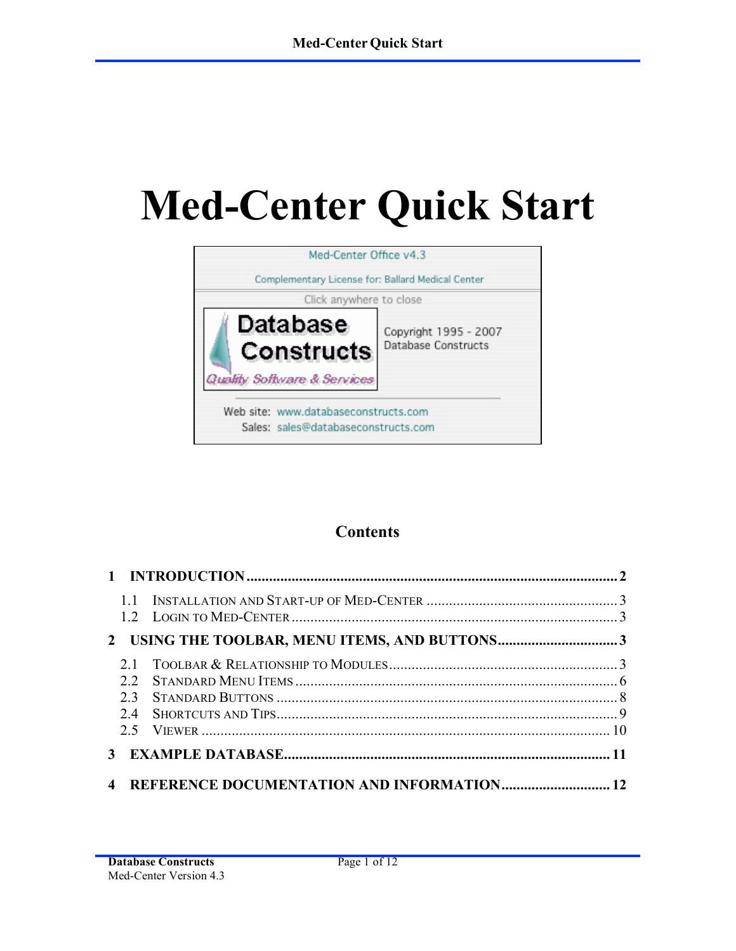# **Med-Center Quick Start**



# **Contents**

| 12 <sub>1</sub>  |                                                   |  |
|------------------|---------------------------------------------------|--|
|                  |                                                   |  |
| 2.2<br>23<br>2.4 |                                                   |  |
|                  |                                                   |  |
|                  | <b>REFERENCE DOCUMENTATION AND INFORMATION 12</b> |  |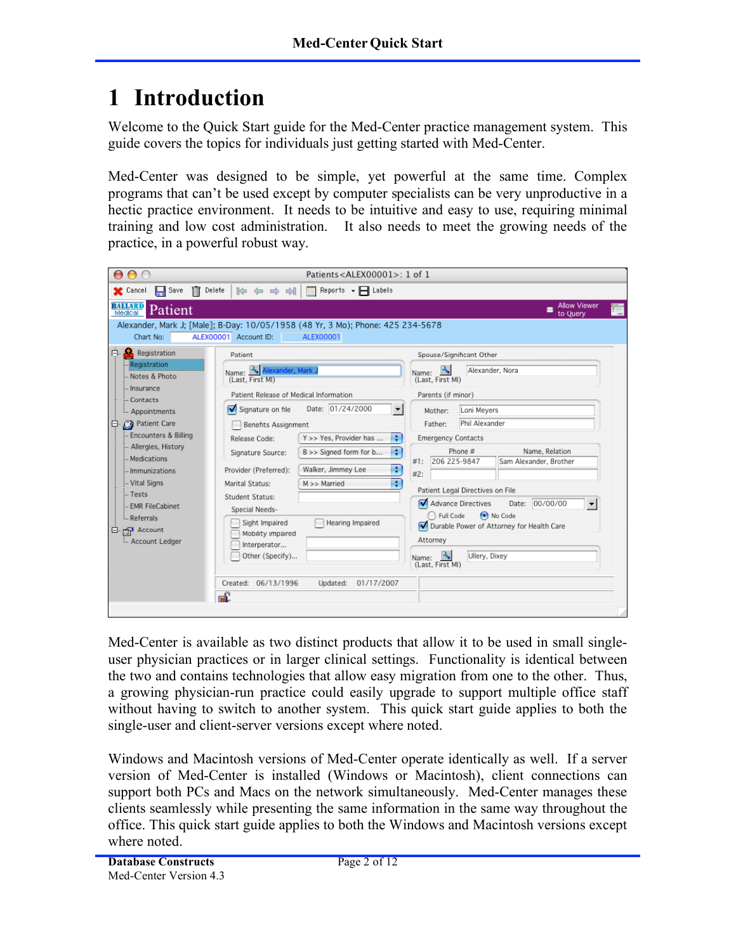# **1 Introduction**

Welcome to the Quick Start guide for the Med-Center practice management system. This guide covers the topics for individuals just getting started with Med-Center.

Med-Center was designed to be simple, yet powerful at the same time. Complex programs that can't be used except by computer specialists can be very unproductive in a hectic practice environment. It needs to be intuitive and easy to use, requiring minimal training and low cost administration. It also needs to meet the growing needs of the practice, in a powerful robust way.



Med-Center is available as two distinct products that allow it to be used in small singleuser physician practices or in larger clinical settings. Functionality is identical between the two and contains technologies that allow easy migration from one to the other. Thus, a growing physician-run practice could easily upgrade to support multiple office staff without having to switch to another system. This quick start guide applies to both the single-user and client-server versions except where noted.

Windows and Macintosh versions of Med-Center operate identically as well. If a server version of Med-Center is installed (Windows or Macintosh), client connections can support both PCs and Macs on the network simultaneously. Med-Center manages these clients seamlessly while presenting the same information in the same way throughout the office. This quick start guide applies to both the Windows and Macintosh versions except where noted.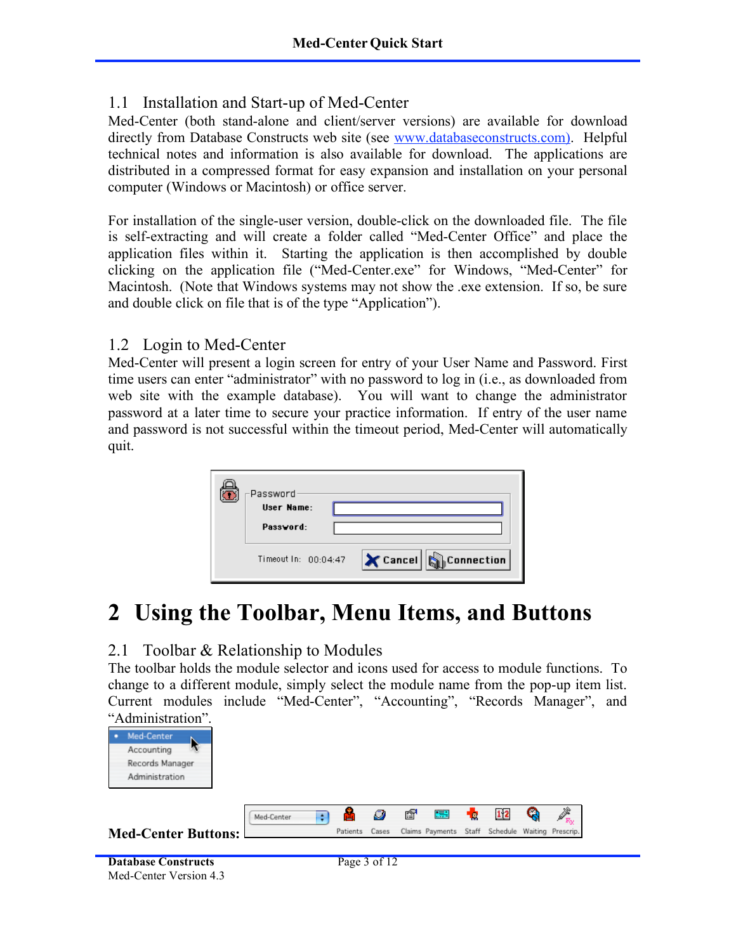#### 1.1 Installation and Start-up of Med-Center

Med-Center (both stand-alone and client/server versions) are available for download directly from Database Constructs web site (see www.databaseconstructs.com). Helpful technical notes and information is also available for download. The applications are distributed in a compressed format for easy expansion and installation on your personal computer (Windows or Macintosh) or office server.

For installation of the single-user version, double-click on the downloaded file. The file is self-extracting and will create a folder called "Med-Center Office" and place the application files within it. Starting the application is then accomplished by double clicking on the application file ("Med-Center.exe" for Windows, "Med-Center" for Macintosh. (Note that Windows systems may not show the .exe extension. If so, be sure and double click on file that is of the type "Application").

#### 1.2 Login to Med-Center

Med-Center will present a login screen for entry of your User Name and Password. First time users can enter "administrator" with no password to log in (i.e., as downloaded from web site with the example database). You will want to change the administrator password at a later time to secure your practice information. If entry of the user name and password is not successful within the timeout period, Med-Center will automatically quit.

| -Password<br>User Name:<br>Password: |                       |
|--------------------------------------|-----------------------|
| Timeout In: 00:04:47                 | Cancel   G Connection |

# **2 Using the Toolbar, Menu Items, and Buttons**

## 2.1 Toolbar & Relationship to Modules

The toolbar holds the module selector and icons used for access to module functions. To change to a different module, simply select the module name from the pop-up item list. Current modules include "Med-Center", "Accounting", "Records Manager", and "Administration".





```
Database Constructs Page 3 of 12
Med-Center Version 4.3
```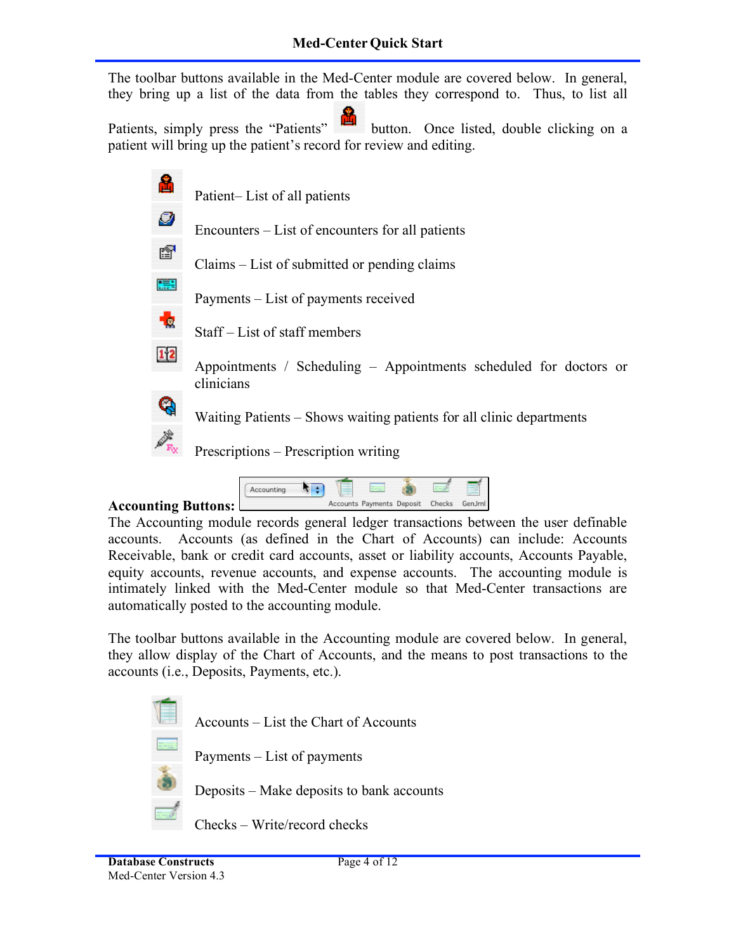The toolbar buttons available in the Med-Center module are covered below. In general, they bring up a list of the data from the tables they correspond to. Thus, to list all

Patients, simply press the "Patients" button. Once listed, double clicking on a patient will bring up the patient's record for review and editing.

| å           | Patient-List of all patients                                                    |
|-------------|---------------------------------------------------------------------------------|
| Ø           | Encounters – List of encounters for all patients                                |
| ß           | Claims – List of submitted or pending claims                                    |
| 驃           | Payments – List of payments received                                            |
| -le         | Staff – List of staff members                                                   |
| $1\sqrt{2}$ | Appointments / Scheduling – Appointments scheduled for doctors or<br>clinicians |
|             | Waiting Patients – Shows waiting patients for all clinic departments            |
|             | Prescriptions – Prescription writing                                            |
|             |                                                                                 |

#### **Accounting Buttons:**

The Accounting module records general ledger transactions between the user definable accounts. Accounts (as defined in the Chart of Accounts) can include: Accounts Receivable, bank or credit card accounts, asset or liability accounts, Accounts Payable, equity accounts, revenue accounts, and expense accounts. The accounting module is intimately linked with the Med-Center module so that Med-Center transactions are automatically posted to the accounting module.

Accounts Payments Deposit Checks GenJrnl

 $\sqrt{ }$ 

Accounting

The toolbar buttons available in the Accounting module are covered below. In general, they allow display of the Chart of Accounts, and the means to post transactions to the accounts (i.e., Deposits, Payments, etc.).

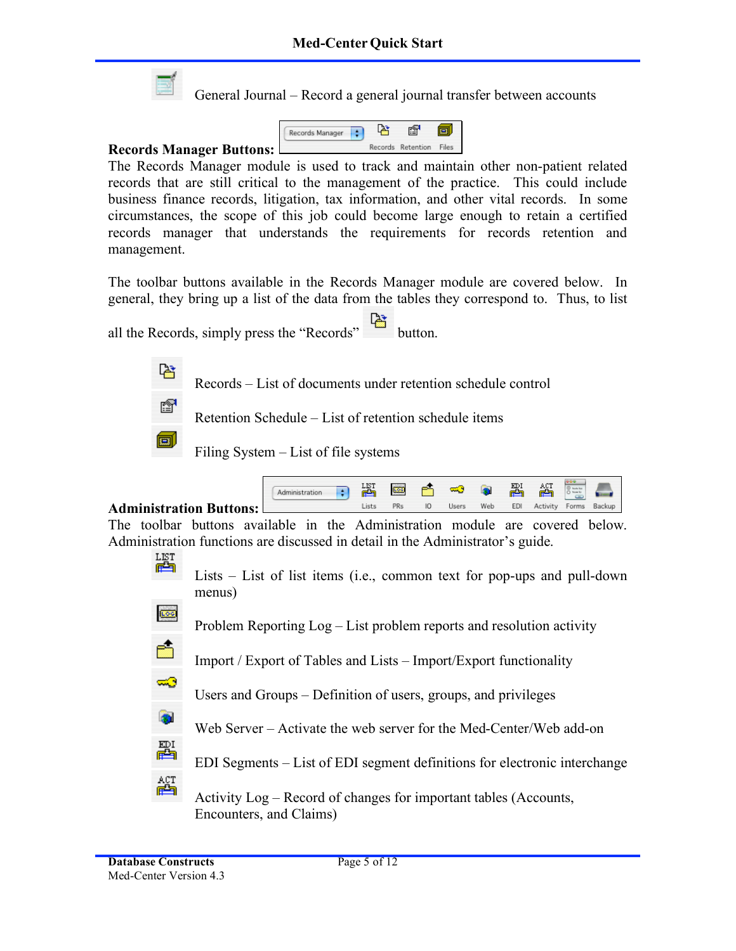

General Journal – Record a general journal transfer between accounts



The Records Manager module is used to track and maintain other non-patient related records that are still critical to the management of the practice. This could include business finance records, litigation, tax information, and other vital records. In some circumstances, the scope of this job could become large enough to retain a certified records manager that understands the requirements for records retention and management.

The toolbar buttons available in the Records Manager module are covered below. In general, they bring up a list of the data from the tables they correspond to. Thus, to list

all the Records, simply press the "Records" button.

Records – List of documents under retention schedule control



ਿ∺

Retention Schedule – List of retention schedule items

Filing System – List of file systems

|                                  | Administration | 떓    | 600 | ∞ಾ    | <b>B</b> | 羀   | ACT      |       |        |
|----------------------------------|----------------|------|-----|-------|----------|-----|----------|-------|--------|
| <b>Administration Buttons:</b> L |                | jsts | PRs | Users | Web      | EDI | Activity | Forms | Backup |

The toolbar buttons available in the Administration module are covered below. Administration functions are discussed in detail in the Administrator's guide.

嶍

Lists – List of list items (i.e., common text for pop-ups and pull-down menus)

600

Ó

≂ಾ

 $\bullet$ 

疊

綇

Problem Reporting Log – List problem reports and resolution activity

Import / Export of Tables and Lists – Import/Export functionality

Users and Groups – Definition of users, groups, and privileges

Web Server – Activate the web server for the Med-Center/Web add-on

EDI Segments – List of EDI segment definitions for electronic interchange

Activity Log – Record of changes for important tables (Accounts, Encounters, and Claims)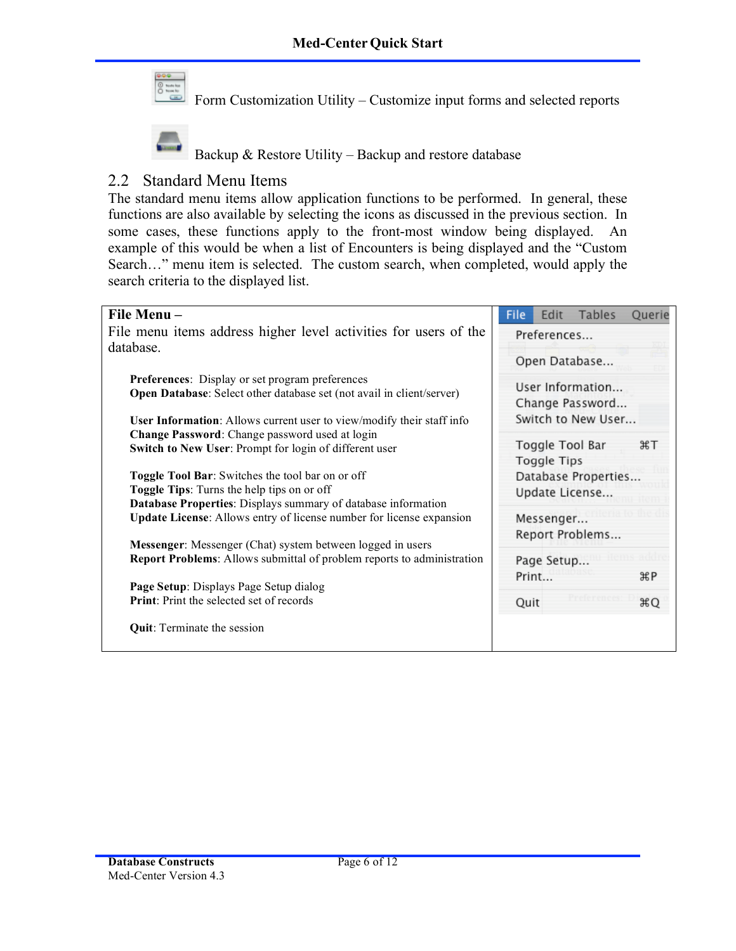

Form Customization Utility – Customize input forms and selected reports



Backup & Restore Utility – Backup and restore database

## 2.2 Standard Menu Items

The standard menu items allow application functions to be performed. In general, these functions are also available by selecting the icons as discussed in the previous section. In some cases, these functions apply to the front-most window being displayed. An example of this would be when a list of Encounters is being displayed and the "Custom Search…" menu item is selected. The custom search, when completed, would apply the search criteria to the displayed list.

| File Menu-                                                                    | Tables<br>File<br>Edit<br>Querie  |  |  |  |
|-------------------------------------------------------------------------------|-----------------------------------|--|--|--|
| File menu items address higher level activities for users of the              | Preferences                       |  |  |  |
| database.                                                                     |                                   |  |  |  |
|                                                                               | Open Database                     |  |  |  |
| Preferences: Display or set program preferences                               | User Information                  |  |  |  |
| <b>Open Database:</b> Select other database set (not avail in client/server)  | Change Password                   |  |  |  |
| <b>User Information:</b> Allows current user to view/modify their staff info  | Switch to New User                |  |  |  |
| Change Password: Change password used at login                                | Toggle Tool Bar<br>$\overline{a}$ |  |  |  |
| Switch to New User: Prompt for login of different user                        | <b>Toggle Tips</b>                |  |  |  |
| Toggle Tool Bar: Switches the tool bar on or off                              | Database Properties               |  |  |  |
| Toggle Tips: Turns the help tips on or off                                    | Update License                    |  |  |  |
| Database Properties: Displays summary of database information                 |                                   |  |  |  |
| <b>Update License:</b> Allows entry of license number for license expansion   | Messenger                         |  |  |  |
| Messenger: Messenger (Chat) system between logged in users                    | Report Problems                   |  |  |  |
| <b>Report Problems:</b> Allows submittal of problem reports to administration | Page Setup                        |  |  |  |
| Page Setup: Displays Page Setup dialog                                        | Print<br>æР                       |  |  |  |
| <b>Print:</b> Print the selected set of records                               | ЖQ<br>Quit                        |  |  |  |
|                                                                               |                                   |  |  |  |
| <b>Quit:</b> Terminate the session                                            |                                   |  |  |  |
|                                                                               |                                   |  |  |  |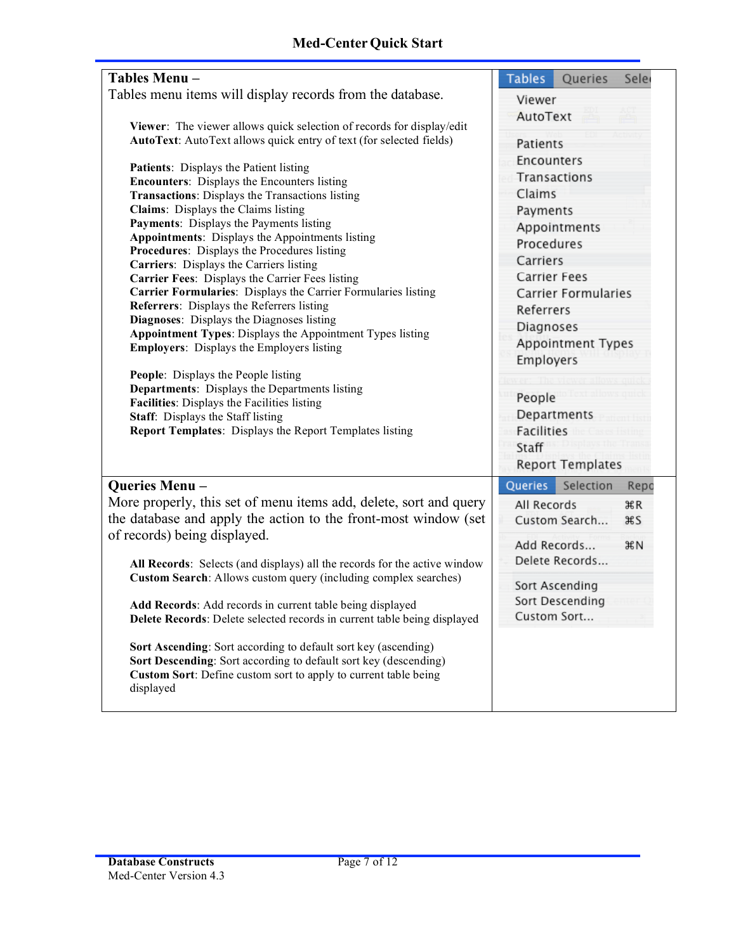| Tables Menu-                                                                                                                                 | <b>Tables</b><br>Queries<br>Sele |  |  |  |
|----------------------------------------------------------------------------------------------------------------------------------------------|----------------------------------|--|--|--|
| Tables menu items will display records from the database.                                                                                    | Viewer<br>AutoText<br>Patients   |  |  |  |
| Viewer: The viewer allows quick selection of records for display/edit<br>AutoText: AutoText allows quick entry of text (for selected fields) |                                  |  |  |  |
| Patients: Displays the Patient listing                                                                                                       | Encounters                       |  |  |  |
| <b>Encounters:</b> Displays the Encounters listing                                                                                           | Transactions                     |  |  |  |
| <b>Transactions:</b> Displays the Transactions listing                                                                                       | Claims                           |  |  |  |
| Claims: Displays the Claims listing                                                                                                          | Payments                         |  |  |  |
| Payments: Displays the Payments listing                                                                                                      | Appointments                     |  |  |  |
| <b>Appointments:</b> Displays the Appointments listing                                                                                       | Procedures                       |  |  |  |
| Procedures: Displays the Procedures listing                                                                                                  | Carriers                         |  |  |  |
| Carriers: Displays the Carriers listing                                                                                                      | Carrier Fees                     |  |  |  |
| Carrier Fees: Displays the Carrier Fees listing                                                                                              |                                  |  |  |  |
| Carrier Formularies: Displays the Carrier Formularies listing<br><b>Referrers:</b> Displays the Referrers listing                            | Carrier Formularies              |  |  |  |
| Diagnoses: Displays the Diagnoses listing                                                                                                    | Referrers                        |  |  |  |
| Appointment Types: Displays the Appointment Types listing                                                                                    | Diagnoses                        |  |  |  |
| <b>Employers:</b> Displays the Employers listing                                                                                             | Appointment Types<br>Employers   |  |  |  |
| People: Displays the People listing                                                                                                          | People                           |  |  |  |
| <b>Departments:</b> Displays the Departments listing                                                                                         |                                  |  |  |  |
| Facilities: Displays the Facilities listing                                                                                                  |                                  |  |  |  |
| Staff: Displays the Staff listing<br><b>Report Templates:</b> Displays the Report Templates listing                                          | Departments                      |  |  |  |
|                                                                                                                                              | Facilities                       |  |  |  |
|                                                                                                                                              |                                  |  |  |  |
|                                                                                                                                              | Staff                            |  |  |  |
|                                                                                                                                              | <b>Report Templates</b>          |  |  |  |
| Queries Menu-                                                                                                                                | Queries<br>Selection<br>Repo     |  |  |  |
| More properly, this set of menu items add, delete, sort and query                                                                            | All Records<br>ЖR                |  |  |  |
|                                                                                                                                              |                                  |  |  |  |
| the database and apply the action to the front-most window (set                                                                              | Custom Search<br><b>HS</b>       |  |  |  |
| of records) being displayed.                                                                                                                 | Add Records<br>#N                |  |  |  |
| All Records: Selects (and displays) all the records for the active window                                                                    | Delete Records                   |  |  |  |
| Custom Search: Allows custom query (including complex searches)                                                                              |                                  |  |  |  |
|                                                                                                                                              | Sort Ascending                   |  |  |  |
| Add Records: Add records in current table being displayed                                                                                    | Sort Descending                  |  |  |  |
| Delete Records: Delete selected records in current table being displayed                                                                     | Custom Sort                      |  |  |  |
|                                                                                                                                              |                                  |  |  |  |
| <b>Sort Ascending:</b> Sort according to default sort key (ascending)                                                                        |                                  |  |  |  |
| Sort Descending: Sort according to default sort key (descending)                                                                             |                                  |  |  |  |
| Custom Sort: Define custom sort to apply to current table being                                                                              |                                  |  |  |  |
| displayed                                                                                                                                    |                                  |  |  |  |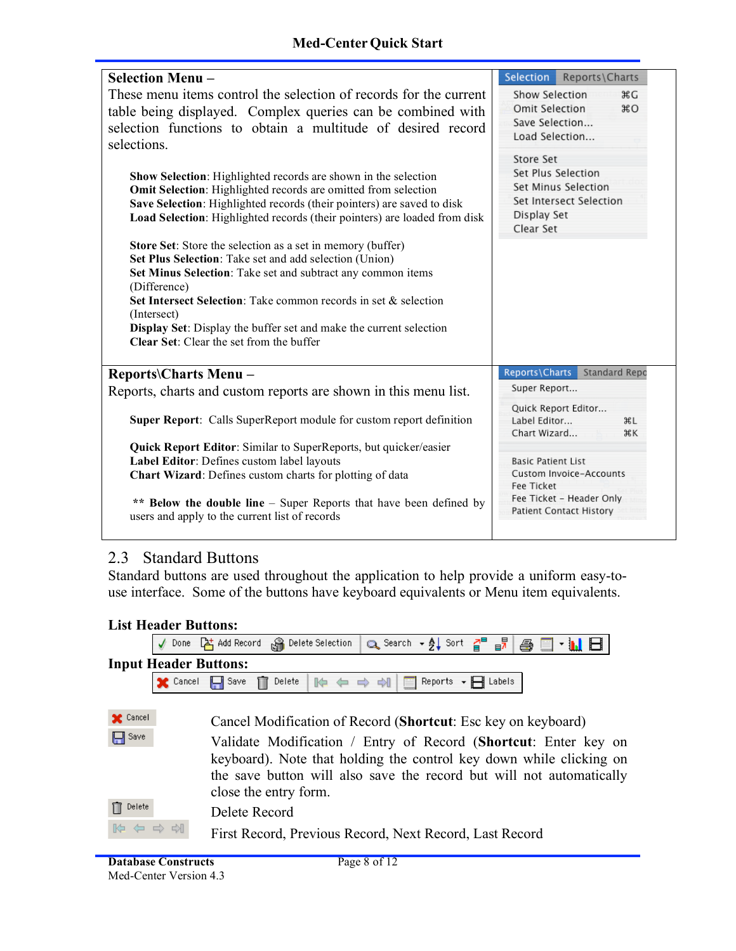#### **Med-Center Quick Start**

| <b>Selection Menu-</b>                                                          | Selection Reports\Charts                                   |  |  |  |
|---------------------------------------------------------------------------------|------------------------------------------------------------|--|--|--|
| These menu items control the selection of records for the current               | Show Selection<br><b>XG</b>                                |  |  |  |
| table being displayed. Complex queries can be combined with                     | <b>Omit Selection</b><br>$*$ <sup>O</sup>                  |  |  |  |
| selection functions to obtain a multitude of desired record                     | Save Selection                                             |  |  |  |
| selections.                                                                     | Load Selection                                             |  |  |  |
|                                                                                 | Store Set                                                  |  |  |  |
| Show Selection: Highlighted records are shown in the selection                  | Set Plus Selection                                         |  |  |  |
| Omit Selection: Highlighted records are omitted from selection                  | Set Minus Selection                                        |  |  |  |
| Save Selection: Highlighted records (their pointers) are saved to disk          | Set Intersect Selection                                    |  |  |  |
| Load Selection: Highlighted records (their pointers) are loaded from disk       | Display Set                                                |  |  |  |
|                                                                                 | Clear Set                                                  |  |  |  |
| Store Set: Store the selection as a set in memory (buffer)                      |                                                            |  |  |  |
| Set Plus Selection: Take set and add selection (Union)                          |                                                            |  |  |  |
| Set Minus Selection: Take set and subtract any common items                     |                                                            |  |  |  |
| (Difference)<br>Set Intersect Selection: Take common records in set & selection |                                                            |  |  |  |
| (Intersect)                                                                     |                                                            |  |  |  |
| Display Set: Display the buffer set and make the current selection              |                                                            |  |  |  |
| <b>Clear Set:</b> Clear the set from the buffer                                 |                                                            |  |  |  |
|                                                                                 |                                                            |  |  |  |
| <b>Reports\Charts Menu –</b>                                                    | Reports\Charts<br>Standard Repo                            |  |  |  |
| Reports, charts and custom reports are shown in this menu list.                 | Super Report                                               |  |  |  |
|                                                                                 | Quick Report Editor                                        |  |  |  |
| Super Report: Calls SuperReport module for custom report definition             | Label Editor<br><b>HL</b>                                  |  |  |  |
|                                                                                 | Chart Wizard<br>ЖK                                         |  |  |  |
| <b>Quick Report Editor:</b> Similar to SuperReports, but quicker/easier         |                                                            |  |  |  |
| Label Editor: Defines custom label layouts                                      | <b>Basic Patient List</b>                                  |  |  |  |
| Chart Wizard: Defines custom charts for plotting of data                        | Custom Invoice-Accounts<br>Fee Ticket                      |  |  |  |
|                                                                                 |                                                            |  |  |  |
|                                                                                 |                                                            |  |  |  |
| ** Below the double line – Super Reports that have been defined by              | Fee Ticket - Header Only<br><b>Patient Contact History</b> |  |  |  |
| users and apply to the current list of records                                  |                                                            |  |  |  |

## 2.3 Standard Buttons

Standard buttons are used throughout the application to help provide a uniform easy-touse interface. Some of the buttons have keyboard equivalents or Menu item equivalents.

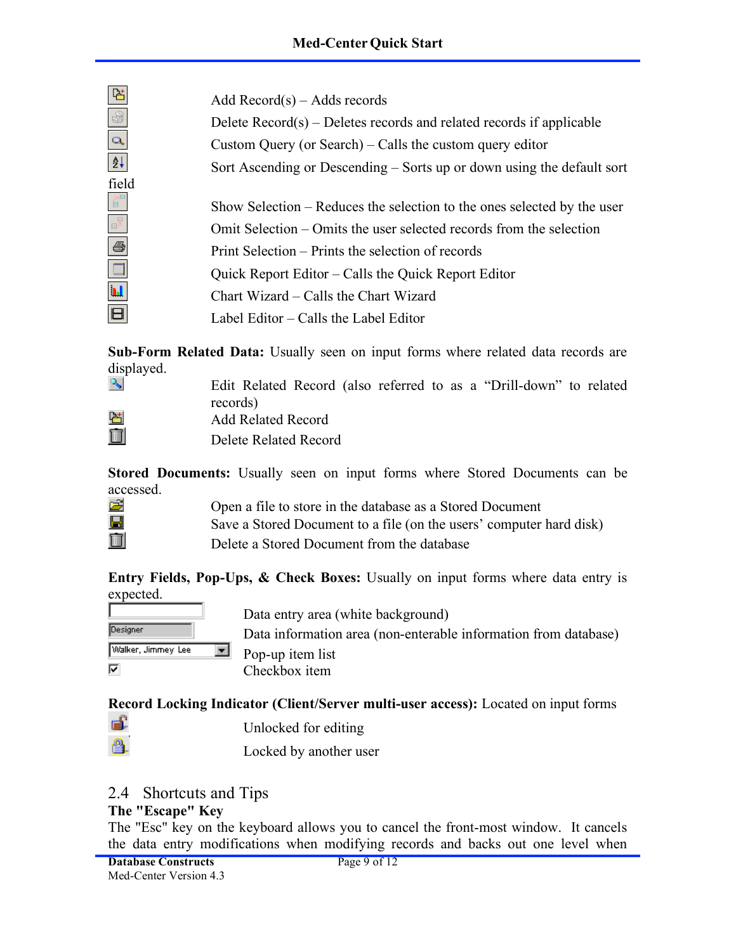Add Record(s) – Adds records

Delete Record(s) – Deletes records and related records if applicable Custom Query (or Search) – Calls the custom query editor Sort Ascending or Descending – Sorts up or down using the default sort

Show Selection – Reduces the selection to the ones selected by the user Omit Selection – Omits the user selected records from the selection Print Selection – Prints the selection of records Quick Report Editor – Calls the Quick Report Editor Chart Wizard – Calls the Chart Wizard Label Editor – Calls the Label Editor

**Sub-Form Related Data:** Usually seen on input forms where related data records are displayed.  $\mathcal{P}_{\mathbf{S}_n}$ 

field

 $\vec{\mathsf{q}}^{\text{\tiny{B}}}$ 

6

Edit Related Record (also referred to as a "Drill-down" to related records)

| -------                   |
|---------------------------|
| <b>Add Related Record</b> |
| רונות ורח                 |

Delete Related Record

**Stored Documents:** Usually seen on input forms where Stored Documents can be accessed.

ê.

Open a file to store in the database as a Stored Document Save a Stored Document to a file (on the users' computer hard disk) Delete a Stored Document from the database

**Entry Fields, Pop-Ups, & Check Boxes:** Usually on input forms where data entry is expected.



Data entry area (white background)

Data information area (non-enterable information from database) Pop-up item list Checkbox item

**Record Locking Indicator (Client/Server multi-user access):** Located on input forms

- é. Unlocked for editing
	- Locked by another user

## 2.4 Shortcuts and Tips

## **The "Escape" Key**

The "Esc" key on the keyboard allows you to cancel the front-most window. It cancels the data entry modifications when modifying records and backs out one level when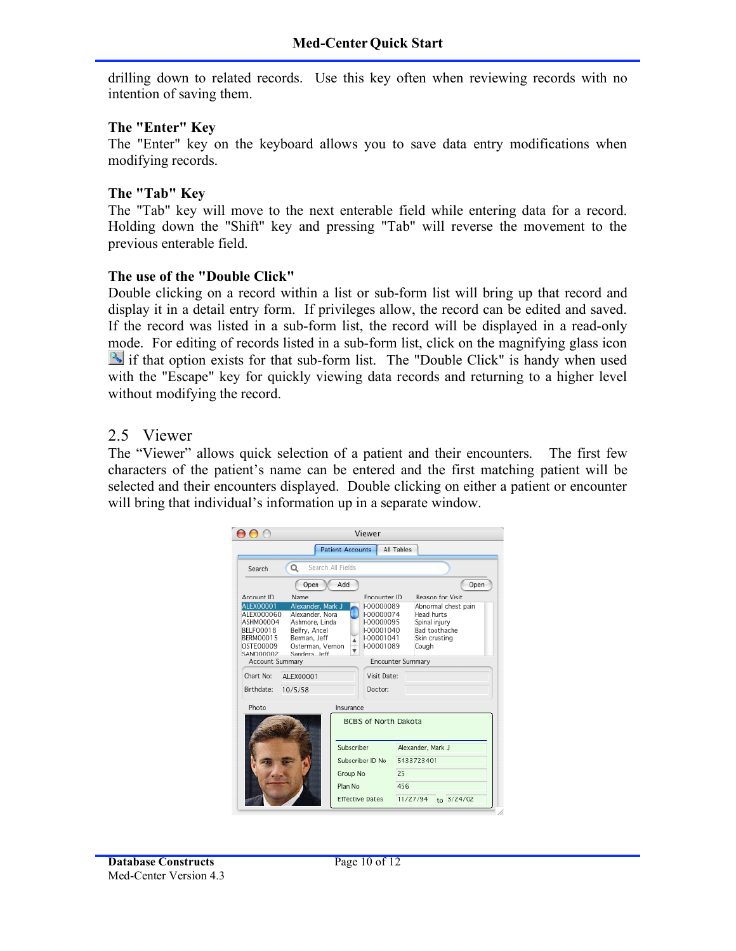drilling down to related records. Use this key often when reviewing records with no intention of saving them.

#### **The "Enter" Key**

The "Enter" key on the keyboard allows you to save data entry modifications when modifying records.

#### **The "Tab" Key**

The "Tab" key will move to the next enterable field while entering data for a record. Holding down the "Shift" key and pressing "Tab" will reverse the movement to the previous enterable field.

#### **The use of the "Double Click"**

Double clicking on a record within a list or sub-form list will bring up that record and display it in a detail entry form. If privileges allow, the record can be edited and saved. If the record was listed in a sub-form list, the record will be displayed in a read-only mode. For editing of records listed in a sub-form list, click on the magnifying glass icon  $\mathbb{R}$  if that option exists for that sub-form list. The "Double Click" is handy when used with the "Escape" key for quickly viewing data records and returning to a higher level without modifying the record.

#### 2.5 Viewer

The "Viewer" allows quick selection of a patient and their encounters. The first few characters of the patient's name can be entered and the first matching patient will be selected and their encounters displayed. Double clicking on either a patient or encounter will bring that individual's information up in a separate window.

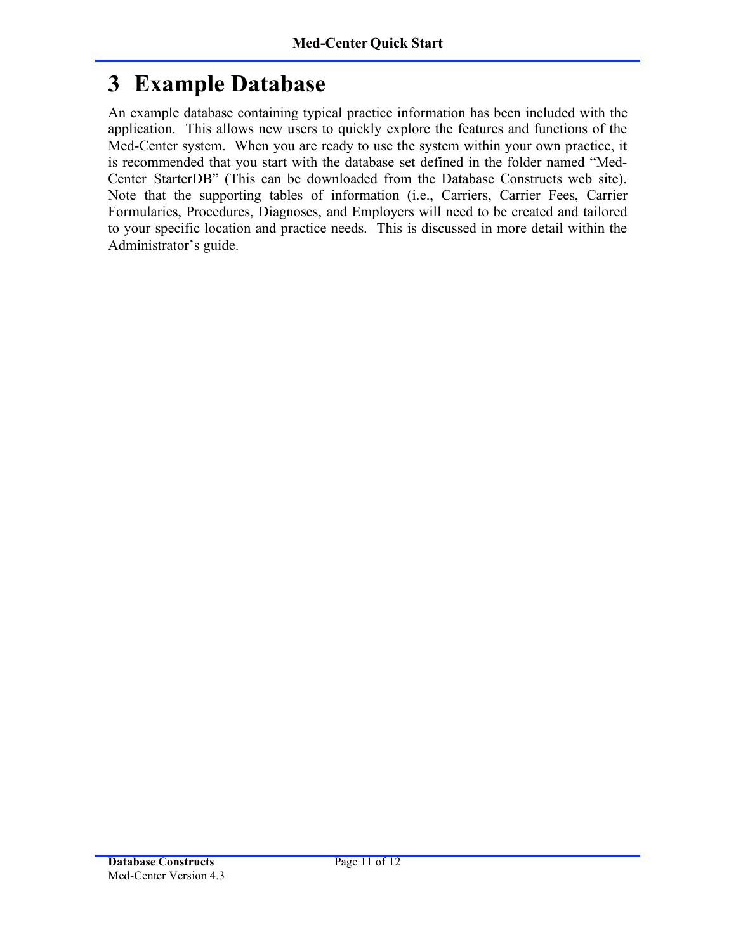# **3 Example Database**

An example database containing typical practice information has been included with the application. This allows new users to quickly explore the features and functions of the Med-Center system. When you are ready to use the system within your own practice, it is recommended that you start with the database set defined in the folder named "Med-Center StarterDB" (This can be downloaded from the Database Constructs web site). Note that the supporting tables of information (i.e., Carriers, Carrier Fees, Carrier Formularies, Procedures, Diagnoses, and Employers will need to be created and tailored to your specific location and practice needs. This is discussed in more detail within the Administrator's guide.